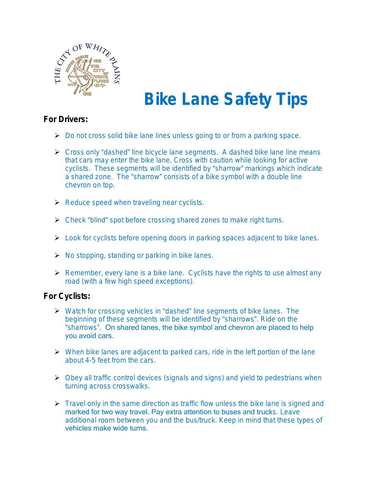

## **Bike Lane Safety Tips**

## *For Drivers:*

- Do not cross solid bike lane lines unless going to or from a parking space.
- ▶ Cross only "dashed" line bicycle lane segments. A dashed bike lane line means that cars may enter the bike lane. Cross with caution while looking for active cyclists. These segments will be identified by "sharrow" markings which indicate a shared zone. The "sharrow" consists of a bike symbol with a double line chevron on top.
- $\triangleright$  Reduce speed when traveling near cyclists.
- ▶ Check "blind" spot before crossing shared zones to make right turns.
- **EXECT** Look for cyclists before opening doors in parking spaces adjacent to bike lanes.
- $\triangleright$  No stopping, standing or parking in bike lanes.
- $\triangleright$  Remember, every lane is a bike lane. Cyclists have the rights to use almost any road (with a few high speed exceptions).

## *For Cyclists:*

- Watch for crossing vehicles in "dashed" line segments of bike lanes. The beginning of these segments will be identified by "sharrows". Ride on the "sharrows". On shared lanes, the bike symbol and chevron are placed to help you avoid cars.
- $\triangleright$  When bike lanes are adjacent to parked cars, ride in the left portion of the lane about 4-5 feet from the cars.
- Obey all traffic control devices (signals and signs) and yield to pedestrians when turning across crosswalks.
- $\triangleright$  Travel only in the same direction as traffic flow unless the bike lane is signed and marked for two way travel. Pay extra attention to buses and trucks. Leave additional room between you and the bus/truck. Keep in mind that these types of vehicles make wide turns.